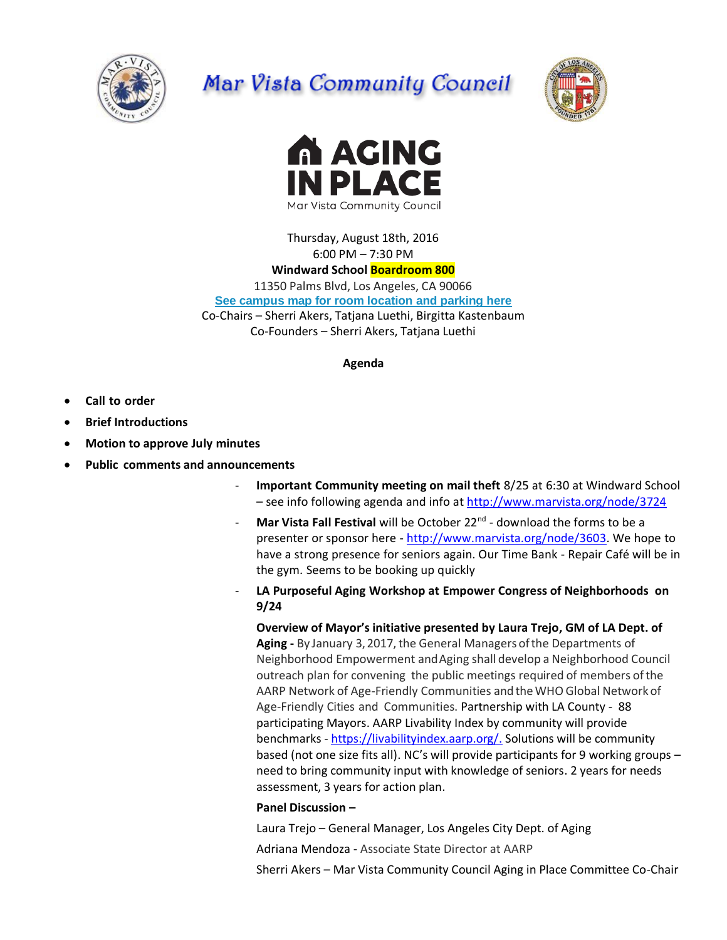

# Mar Vista Community Council





Thursday, August 18th, 2016 6:00 PM – 7:30 PM **Windward School Boardroom 800** 11350 Palms Blvd, Los Angeles, CA 90066 **[See campus map for room location and parking here](https://windwardschool.myschoolapp.com/ftpimages/176/download/download_1671327.pdf)** Co-Chairs – Sherri Akers, Tatjana Luethi, Birgitta Kastenbaum Co-Founders – Sherri Akers, Tatjana Luethi

#### **Agenda**

- **Call to order**
- **Brief Introductions**
- **Motion to approve July minutes**
- **Public comments and announcements**
	- **Important Community meeting on mail theft** 8/25 at 6:30 at Windward School – see info following agenda and info at<http://www.marvista.org/node/3724>
	- **Mar Vista Fall Festival** will be October 22<sup>nd</sup> download the forms to be a presenter or sponsor here - [http://www.marvista.org/node/3603.](http://www.marvista.org/node/3603) We hope to have a strong presence for seniors again. Our Time Bank - Repair Café will be in the gym. Seems to be booking up quickly
	- **LA Purposeful Aging Workshop at Empower Congress of Neighborhoods on 9/24**

**Overview of Mayor's initiative presented by Laura Trejo, GM of LA Dept. of**  Aging - By January 3, 2017, the General Managers of the Departments of Neighborhood Empowerment andAging shall develop a Neighborhood Council outreach plan for convening the public meetings required of members of the AARP Network of Age-Friendly Communities and the WHO Global Network of Age-Friendly Cities and Communities. Partnership with LA County - 88 participating Mayors. AARP Livability Index by community will provide benchmarks - [https://livabilityindex.aarp.org/.](https://livabilityindex.aarp.org/) Solutions will be community based (not one size fits all). NC's will provide participants for 9 working groups – need to bring community input with knowledge of seniors. 2 years for needs assessment, 3 years for action plan.

#### **Panel Discussion –**

Laura Trejo – General Manager, Los Angeles City Dept. of Aging

Adriana Mendoza - Associate State Director at AARP

Sherri Akers – Mar Vista Community Council Aging in Place Committee Co-Chair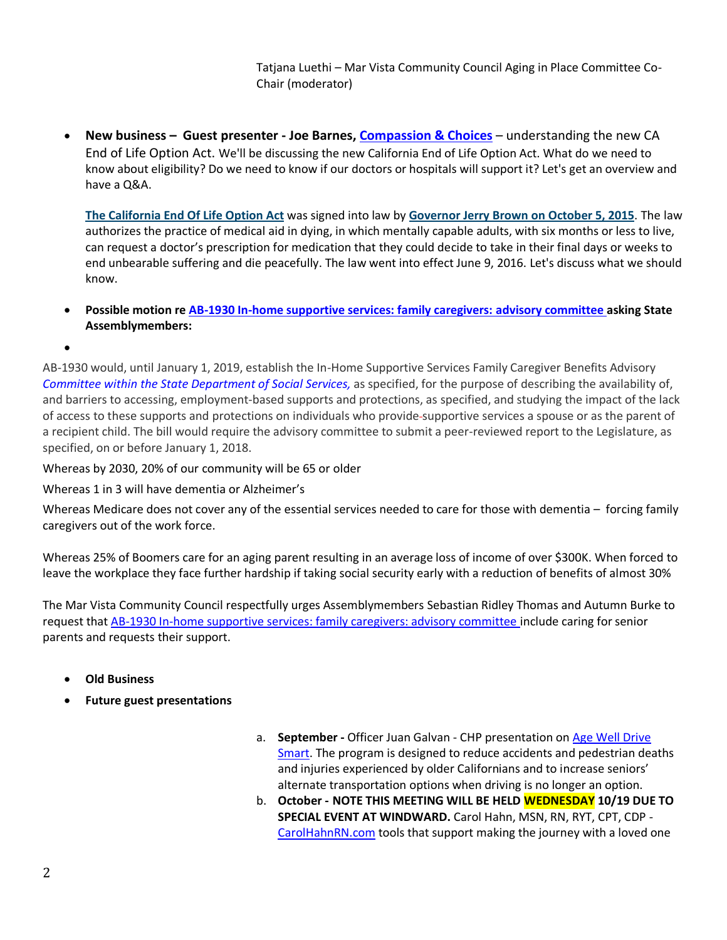Tatjana Luethi – Mar Vista Community Council Aging in Place Committee Co-Chair (moderator)

 **New business – Guest presenter - Joe Barnes, [Compassion & Choices](https://www.compassionandchoices.org/california/)** – understanding the new CA End of Life Option Act. We'll be discussing the new California End of Life Option Act. What do we need to know about eligibility? Do we need to know if our doctors or hospitals will support it? Let's get an overview and have a Q&A.

**The [California](https://leginfo.legislature.ca.gov/faces/billTextClient.xhtml?bill_id=201520162AB15) End Of Life Option Act** was signed into law by **[Governor](https://www.compassionandchoices.org/wp-content/uploads/2016/02/CA-End-of-Life-Option-Act-Signing-Statement.pdf) Jerry Brown on October 5, 2015**. The law authorizes the practice of medical aid in dying, in which mentally capable adults, with six months or less to live, can request a doctor's prescription for medication that they could decide to take in their final days or weeks to end unbearable suffering and die peacefully. The law went into effect June 9, 2016. Let's discuss what we should know.

 **Possible motion re AB-1930 In-home supportive services: family caregivers: advisory committee asking State Assemblymembers:**

 $\bullet$ 

AB-1930 would, until January 1, 2019, establish the In-Home Supportive Services Family Caregiver Benefits Advisory *Committee within the State Department of Social Services,* as specified, for the purpose of describing the availability of, and barriers to accessing, employment-based supports and protections, as specified, and studying the impact of the lack of access to these supports and protections on individuals who provide supportive services a spouse or as the parent of a recipient child. The bill would require the advisory committee to submit a peer-reviewed report to the Legislature, as specified, on or before January 1, 2018.

Whereas by 2030, 20% of our community will be 65 or older

Whereas 1 in 3 will have dementia or Alzheimer's

Whereas Medicare does not cover any of the essential services needed to care for those with dementia – forcing family caregivers out of the work force.

Whereas 25% of Boomers care for an aging parent resulting in an average loss of income of over \$300K. When forced to leave the workplace they face further hardship if taking social security early with a reduction of benefits of almost 30%

The Mar Vista Community Council respectfully urges Assemblymembers Sebastian Ridley Thomas and Autumn Burke to request that AB-1930 In-home supportive services: family caregivers: advisory committee include caring for senior parents and requests their support.

- **Old Business**
- **Future guest presentations**
- a. **September -** Officer Juan Galvan CHP presentation on [Age Well Drive](https://www.chp.ca.gov/programs-services/programs/age-well-drive-smart)  [Smart.](https://www.chp.ca.gov/programs-services/programs/age-well-drive-smart) The program is designed to reduce accidents and pedestrian deaths and injuries experienced by older Californians and to increase seniors' alternate transportation options when driving is no longer an option.
- b. **October - NOTE THIS MEETING WILL BE HELD WEDNESDAY 10/19 DUE TO SPECIAL EVENT AT WINDWARD.** Carol Hahn, MSN, RN, RYT, CPT, CDP - [CarolHahnRN.com](http://carolhahnrn.com/) tools that support making the journey with a loved one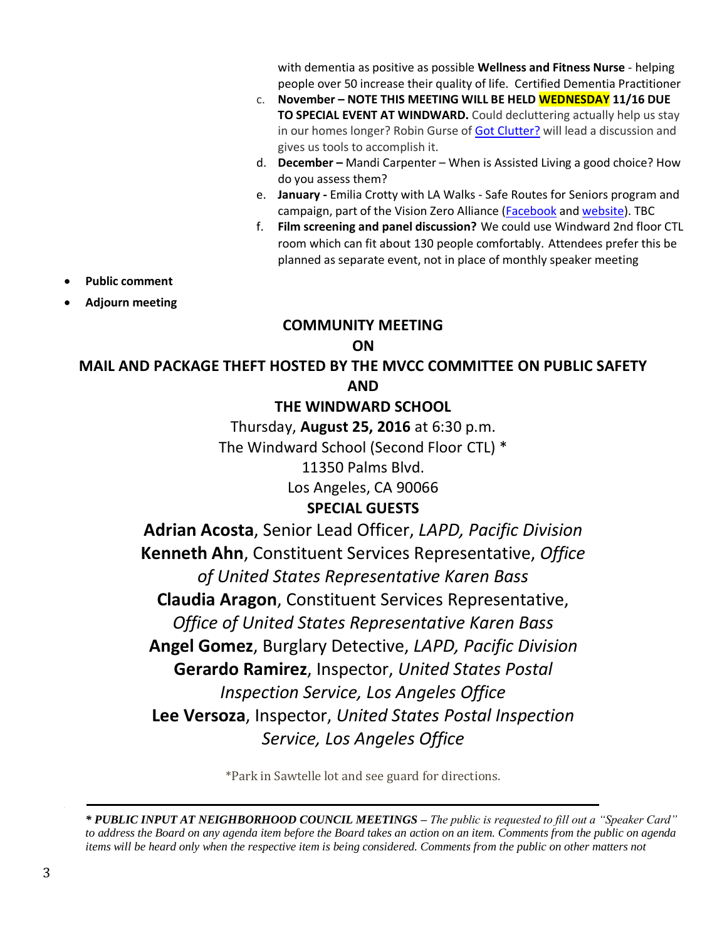with dementia as positive as possible **Wellness and Fitness Nurse** - helping people over 50 increase their quality of life. Certified Dementia Practitioner

- c. **November – NOTE THIS MEETING WILL BE HELD WEDNESDAY 11/16 DUE TO SPECIAL EVENT AT WINDWARD.** Could decluttering actually help us stay in our homes longer? Robin Gurse of [Got Clutter?](http://marvistafallfestival.blogspot.com/2015/09/got-clutter.html) will lead a discussion and gives us tools to accomplish it.
- d. **December –** Mandi Carpenter When is Assisted Living a good choice? How do you assess them?
- e. **January -** Emilia Crotty with LA Walks Safe Routes for Seniors program and campaign, part of the Vision Zero Alliance [\(Facebook](https://www.facebook.com/LAvisionzero/photos) an[d website\)](http://www.visionzeroalliance.org/). TBC
- f. **Film screening and panel discussion?** We could use Windward 2nd floor CTL room which can fit about 130 people comfortably. Attendees prefer this be planned as separate event, not in place of monthly speaker meeting
- **Public comment**
- **Adjourn meeting**

## **COMMUNITY MEETING**

### **ON**

#### **MAIL AND PACKAGE THEFT HOSTED BY THE MVCC COMMITTEE ON PUBLIC SAFETY AND**

### **THE WINDWARD SCHOOL**

Thursday, **August 25, 2016** at 6:30 p.m.

The Windward School (Second Floor CTL) \*

11350 Palms Blvd.

Los Angeles, CA 90066

# **SPECIAL GUESTS**

**Adrian Acosta**, Senior Lead Officer, *LAPD, Pacific Division* **Kenneth Ahn**, Constituent Services Representative, *Office of United States Representative Karen Bass* **Claudia Aragon**, Constituent Services Representative, *Office of United States Representative Karen Bass* **Angel Gomez**, Burglary Detective, *LAPD, Pacific Division* **Gerardo Ramirez**, Inspector, *United States Postal Inspection Service, Los Angeles Office* **Lee Versoza**, Inspector, *United States Postal Inspection Service, Los Angeles Office*

\*Park in Sawtelle lot and see guard for directions.

*\* PUBLIC INPUT AT NEIGHBORHOOD COUNCIL MEETINGS – The public is requested to fill out a "Speaker Card" to address the Board on any agenda item before the Board takes an action on an item. Comments from the public on agenda items will be heard only when the respective item is being considered. Comments from the public on other matters not*